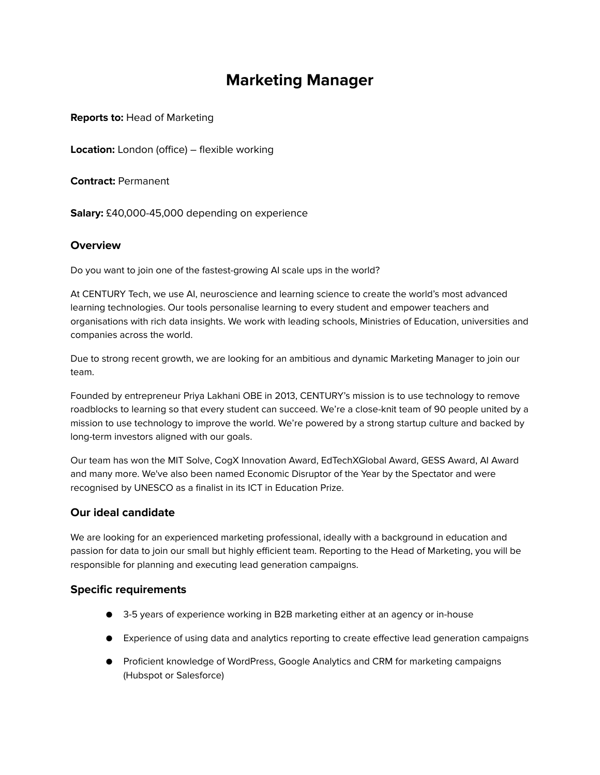# **Marketing Manager**

**Reports to:** Head of Marketing

**Location:** London (office) – flexible working

**Contract:** Permanent

**Salary:** £40,000-45,000 depending on experience

# **Overview**

Do you want to join one of the fastest-growing AI scale ups in the world?

At CENTURY Tech, we use AI, neuroscience and learning science to create the world's most advanced learning technologies. Our tools personalise learning to every student and empower teachers and organisations with rich data insights. We work with leading schools, Ministries of Education, universities and companies across the world.

Due to strong recent growth, we are looking for an ambitious and dynamic Marketing Manager to join our team.

Founded by entrepreneur Priya Lakhani OBE in 2013, CENTURY's mission is to use technology to remove roadblocks to learning so that every student can succeed. We're a close-knit team of 90 people united by a mission to use technology to improve the world. We're powered by a strong startup culture and backed by long-term investors aligned with our goals.

Our team has won the MIT Solve, CogX Innovation Award, EdTechXGlobal Award, GESS Award, AI Award and many more. We've also been named Economic Disruptor of the Year by the Spectator and were recognised by UNESCO as a finalist in its ICT in Education Prize.

# **Our ideal candidate**

We are looking for an experienced marketing professional, ideally with a background in education and passion for data to join our small but highly efficient team. Reporting to the Head of Marketing, you will be responsible for planning and executing lead generation campaigns.

### **Specific requirements**

- 3-5 years of experience working in B2B marketing either at an agency or in-house
- Experience of using data and analytics reporting to create effective lead generation campaigns
- Proficient knowledge of WordPress, Google Analytics and CRM for marketing campaigns (Hubspot or Salesforce)